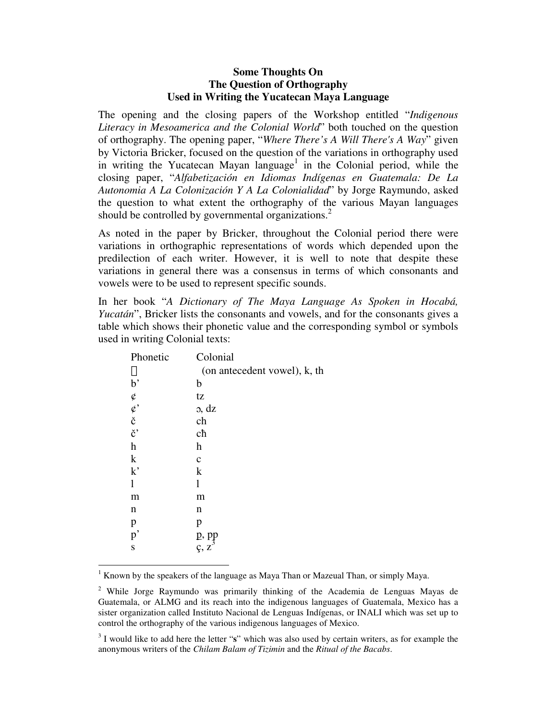# **Some Thoughts On The Question of Orthography Used in Writing the Yucatecan Maya Language**

The opening and the closing papers of the Workshop entitled "*Indigenous Literacy in Mesoamerica and the Colonial World*" both touched on the question of orthography. The opening paper, "*Where There's A Will There's A Way*" given by Victoria Bricker, focused on the question of the variations in orthography used in writing the Yucatecan Mayan language<sup>1</sup> in the Colonial period, while the closing paper, "*Alfabetización en Idiomas Indígenas en Guatemala: De La Autonomia A La Colonización Y A La Colonialidad*" by Jorge Raymundo, asked the question to what extent the orthography of the various Mayan languages should be controlled by governmental organizations.<sup>2</sup>

As noted in the paper by Bricker, throughout the Colonial period there were variations in orthographic representations of words which depended upon the predilection of each writer. However, it is well to note that despite these variations in general there was a consensus in terms of which consonants and vowels were to be used to represent specific sounds.

In her book "*A Dictionary of The Maya Language As Spoken in Hocabá, Yucatán*", Bricker lists the consonants and vowels, and for the consonants gives a table which shows their phonetic value and the corresponding symbol or symbols used in writing Colonial texts:

| Phonetic                                                                     | Colonial                                 |
|------------------------------------------------------------------------------|------------------------------------------|
| §                                                                            | (on antecedent vowel), k, th             |
| $\mathbf{b}$                                                                 | b                                        |
|                                                                              | tz                                       |
| $\begin{array}{c} \varphi \\ \varphi \\ \check{c} \\ \check{c} \end{array},$ | o, dz                                    |
|                                                                              | ch                                       |
|                                                                              | cħ                                       |
| $\boldsymbol{\mathrm{h}}$                                                    | h                                        |
| $\mathbf k$                                                                  | $\mathbf c$                              |
| k                                                                            | $\mathbf k$                              |
| $\mathbf{1}$                                                                 | 1                                        |
| m                                                                            | m                                        |
| n                                                                            | n                                        |
| p                                                                            | p                                        |
| p'                                                                           |                                          |
| S                                                                            | $\frac{p}{\varsigma}$ , $\frac{pp}{s^3}$ |
|                                                                              |                                          |

<sup>1</sup> Known by the speakers of the language as Maya Than or Mazeual Than, or simply Maya.

<sup>&</sup>lt;sup>2</sup> While Jorge Raymundo was primarily thinking of the Academia de Lenguas Mayas de Guatemala, or ALMG and its reach into the indigenous languages of Guatemala, Mexico has a sister organization called Instituto Nacional de Lenguas Indígenas, or INALI which was set up to control the orthography of the various indigenous languages of Mexico.

<sup>3</sup> I would like to add here the letter "**s**" which was also used by certain writers, as for example the anonymous writers of the *Chilam Balam of Tizimin* and the *Ritual of the Bacabs*.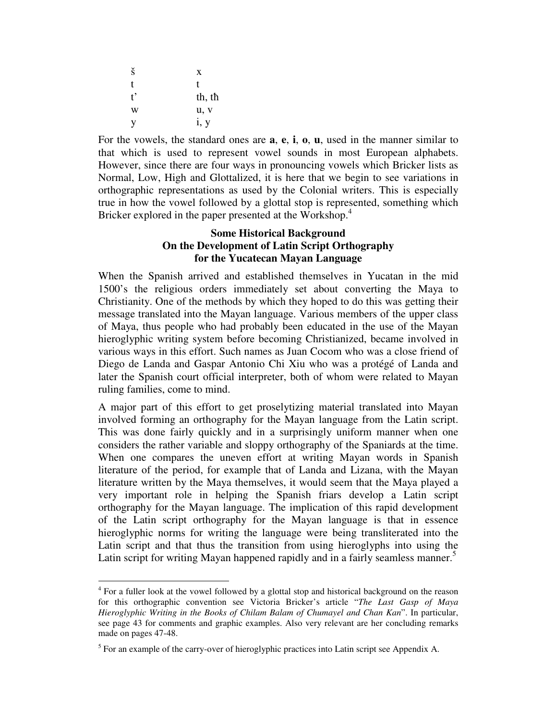| š             | X      |
|---------------|--------|
| t             | t      |
| $t^{\bullet}$ | th, th |
| W             | u, v   |
| V             | i, y   |

 $\overline{a}$ 

For the vowels, the standard ones are **a**, **e**, **i**, **o**, **u**, used in the manner similar to that which is used to represent vowel sounds in most European alphabets. However, since there are four ways in pronouncing vowels which Bricker lists as Normal, Low, High and Glottalized, it is here that we begin to see variations in orthographic representations as used by the Colonial writers. This is especially true in how the vowel followed by a glottal stop is represented, something which Bricker explored in the paper presented at the Workshop.<sup>4</sup>

# **Some Historical Background On the Development of Latin Script Orthography for the Yucatecan Mayan Language**

When the Spanish arrived and established themselves in Yucatan in the mid 1500's the religious orders immediately set about converting the Maya to Christianity. One of the methods by which they hoped to do this was getting their message translated into the Mayan language. Various members of the upper class of Maya, thus people who had probably been educated in the use of the Mayan hieroglyphic writing system before becoming Christianized, became involved in various ways in this effort. Such names as Juan Cocom who was a close friend of Diego de Landa and Gaspar Antonio Chi Xiu who was a protégé of Landa and later the Spanish court official interpreter, both of whom were related to Mayan ruling families, come to mind.

A major part of this effort to get proselytizing material translated into Mayan involved forming an orthography for the Mayan language from the Latin script. This was done fairly quickly and in a surprisingly uniform manner when one considers the rather variable and sloppy orthography of the Spaniards at the time. When one compares the uneven effort at writing Mayan words in Spanish literature of the period, for example that of Landa and Lizana, with the Mayan literature written by the Maya themselves, it would seem that the Maya played a very important role in helping the Spanish friars develop a Latin script orthography for the Mayan language. The implication of this rapid development of the Latin script orthography for the Mayan language is that in essence hieroglyphic norms for writing the language were being transliterated into the Latin script and that thus the transition from using hieroglyphs into using the Latin script for writing Mayan happened rapidly and in a fairly seamless manner.<sup>5</sup>

<sup>&</sup>lt;sup>4</sup> For a fuller look at the vowel followed by a glottal stop and historical background on the reason for this orthographic convention see Victoria Bricker's article "*The Last Gasp of Maya Hieroglyphic Writing in the Books of Chilam Balam of Chumayel and Chan Kan*". In particular, see page 43 for comments and graphic examples. Also very relevant are her concluding remarks made on pages 47-48.

 $<sup>5</sup>$  For an example of the carry-over of hieroglyphic practices into Latin script see Appendix A.</sup>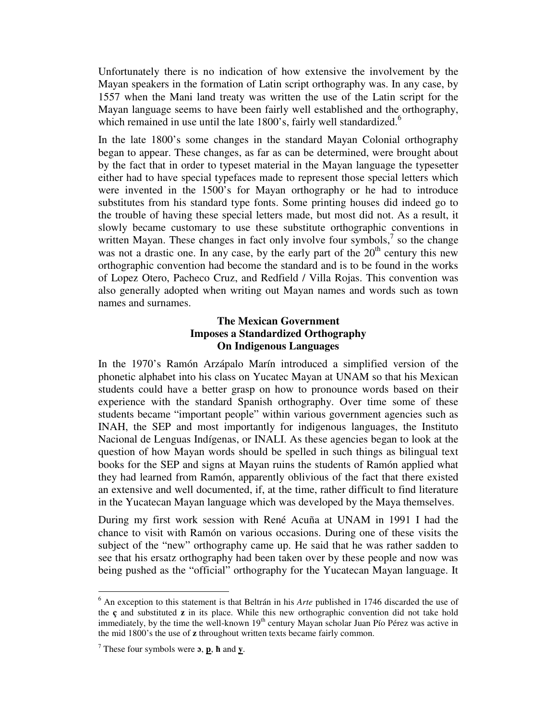Unfortunately there is no indication of how extensive the involvement by the Mayan speakers in the formation of Latin script orthography was. In any case, by 1557 when the Mani land treaty was written the use of the Latin script for the Mayan language seems to have been fairly well established and the orthography, which remained in use until the late 1800's, fairly well standardized.<sup>6</sup>

In the late 1800's some changes in the standard Mayan Colonial orthography began to appear. These changes, as far as can be determined, were brought about by the fact that in order to typeset material in the Mayan language the typesetter either had to have special typefaces made to represent those special letters which were invented in the 1500's for Mayan orthography or he had to introduce substitutes from his standard type fonts. Some printing houses did indeed go to the trouble of having these special letters made, but most did not. As a result, it slowly became customary to use these substitute orthographic conventions in written Mayan. These changes in fact only involve four symbols, $<sup>7</sup>$  so the change</sup> was not a drastic one. In any case, by the early part of the  $20<sup>th</sup>$  century this new orthographic convention had become the standard and is to be found in the works of Lopez Otero, Pacheco Cruz, and Redfield / Villa Rojas. This convention was also generally adopted when writing out Mayan names and words such as town names and surnames.

# **The Mexican Government Imposes a Standardized Orthography On Indigenous Languages**

In the 1970's Ramón Arzápalo Marín introduced a simplified version of the phonetic alphabet into his class on Yucatec Mayan at UNAM so that his Mexican students could have a better grasp on how to pronounce words based on their experience with the standard Spanish orthography. Over time some of these students became "important people" within various government agencies such as INAH, the SEP and most importantly for indigenous languages, the Instituto Nacional de Lenguas Indígenas, or INALI. As these agencies began to look at the question of how Mayan words should be spelled in such things as bilingual text books for the SEP and signs at Mayan ruins the students of Ramón applied what they had learned from Ramón, apparently oblivious of the fact that there existed an extensive and well documented, if, at the time, rather difficult to find literature in the Yucatecan Mayan language which was developed by the Maya themselves.

During my first work session with René Acuña at UNAM in 1991 I had the chance to visit with Ramón on various occasions. During one of these visits the subject of the "new" orthography came up. He said that he was rather sadden to see that his ersatz orthography had been taken over by these people and now was being pushed as the "official" orthography for the Yucatecan Mayan language. It

 6 An exception to this statement is that Beltrán in his *Arte* published in 1746 discarded the use of the **ç** and substituted **z** in its place. While this new orthographic convention did not take hold immediately, by the time the well-known 19<sup>th</sup> century Mayan scholar Juan Pío Pérez was active in the mid 1800's the use of **z** throughout written texts became fairly common.

<sup>7</sup> These four symbols were **ɔ**, **p**, **ħ** and **y**.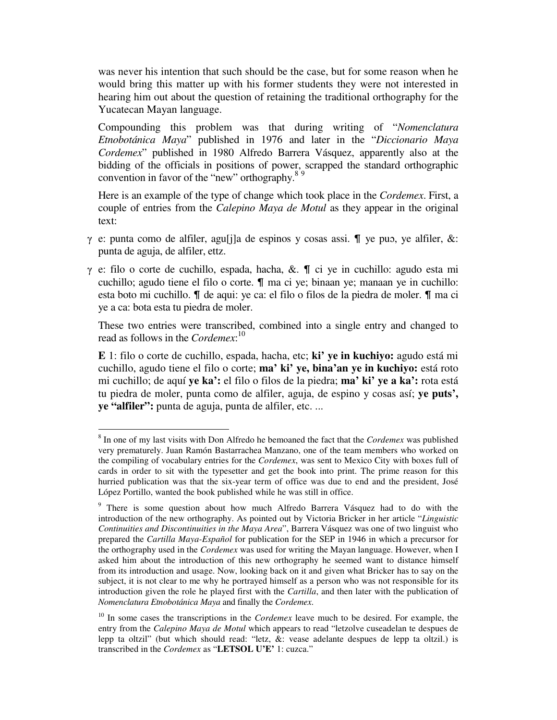was never his intention that such should be the case, but for some reason when he would bring this matter up with his former students they were not interested in hearing him out about the question of retaining the traditional orthography for the Yucatecan Mayan language.

Compounding this problem was that during writing of "*Nomenclatura Etnobotánica Maya*" published in 1976 and later in the "*Diccionario Maya Cordemex*" published in 1980 Alfredo Barrera Vásquez, apparently also at the bidding of the officials in positions of power, scrapped the standard orthographic convention in favor of the "new" orthography.<sup>89</sup>

Here is an example of the type of change which took place in the *Cordemex*. First, a couple of entries from the *Calepino Maya de Motul* as they appear in the original text:

- γ e: punta como de alfiler, agu[j]a de espinos y cosas assi.  $\blacksquare$  ye pub, ye alfiler, &: punta de aguja, de alfiler, ettz.
- $γ$  e: filo o corte de cuchillo, espada, hacha, &.  $\blacksquare$  ci ye in cuchillo: agudo esta mi cuchillo; agudo tiene el filo o corte. & ma ci ye; binaan ye; manaan ye in cuchillo: esta boto mi cuchillo.  $\P$  de aqui: ye ca: el filo o filos de la piedra de moler.  $\P$  ma ci ye a ca: bota esta tu piedra de moler.

These two entries were transcribed, combined into a single entry and changed to read as follows in the *Cordemex*: 10

**E** 1: filo o corte de cuchillo, espada, hacha, etc; **ki' ye in kuchiyo:** agudo está mi cuchillo, agudo tiene el filo o corte; **ma' ki' ye, bina'an ye in kuchiyo:** está roto mi cuchillo; de aquí **ye ka':** el filo o filos de la piedra; **ma' ki' ye a ka':** rota está tu piedra de moler, punta como de alfiler, aguja, de espino y cosas así; **ye puts', ye "alfiler":** punta de aguja, punta de alfiler, etc. ...

 $\overline{a}$ 

<sup>8</sup> In one of my last visits with Don Alfredo he bemoaned the fact that the *Cordemex* was published very prematurely. Juan Ramón Bastarrachea Manzano, one of the team members who worked on the compiling of vocabulary entries for the *Cordemex*, was sent to Mexico City with boxes full of cards in order to sit with the typesetter and get the book into print. The prime reason for this hurried publication was that the six-year term of office was due to end and the president, José López Portillo, wanted the book published while he was still in office.

<sup>&</sup>lt;sup>9</sup> There is some question about how much Alfredo Barrera Vásquez had to do with the introduction of the new orthography. As pointed out by Victoria Bricker in her article "*Linguistic Continuities and Discontinuities in the Maya Area*", Barrera Vásquez was one of two linguist who prepared the *Cartilla Maya-Español* for publication for the SEP in 1946 in which a precursor for the orthography used in the *Cordemex* was used for writing the Mayan language. However, when I asked him about the introduction of this new orthography he seemed want to distance himself from its introduction and usage. Now, looking back on it and given what Bricker has to say on the subject, it is not clear to me why he portrayed himself as a person who was not responsible for its introduction given the role he played first with the *Cartilla*, and then later with the publication of *Nomenclatura Etnobotánica Maya* and finally the *Cordemex*.

<sup>&</sup>lt;sup>10</sup> In some cases the transcriptions in the *Cordemex* leave much to be desired. For example, the entry from the *Calepino Maya de Motul* which appears to read "letzolve cuseadelan te despues de lepp ta oltzil" (but which should read: "letz, &: vease adelante despues de lepp ta oltzil.) is transcribed in the *Cordemex* as "**LETSOL U'E'** 1: cuzca."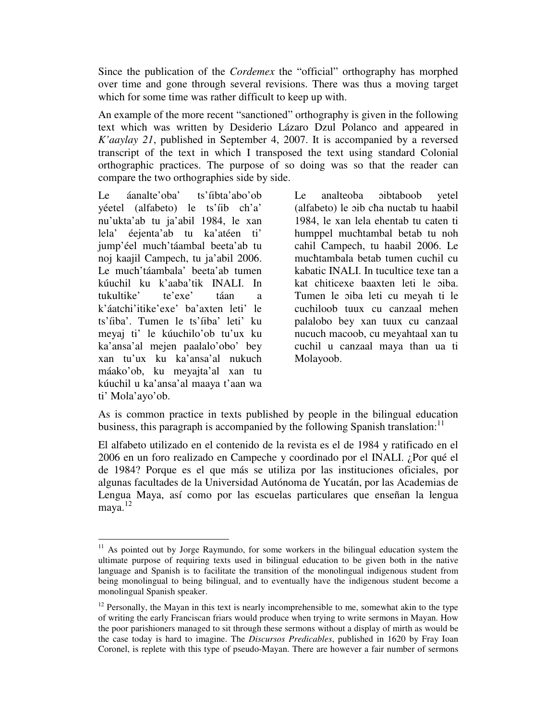Since the publication of the *Cordemex* the "official" orthography has morphed over time and gone through several revisions. There was thus a moving target which for some time was rather difficult to keep up with.

An example of the more recent "sanctioned" orthography is given in the following text which was written by Desiderio Lázaro Dzul Polanco and appeared in *K'aaylay 21*, published in September 4, 2007. It is accompanied by a reversed transcript of the text in which I transposed the text using standard Colonial orthographic practices. The purpose of so doing was so that the reader can compare the two orthographies side by side.

Le áanalte'oba' ts'íibta'abo'ob yéetel (alfabeto) le ts'íib ch'a' nu'ukta'ab tu ja'abil 1984, le xan lela' éejenta'ab tu ka'atéen ti' jump'éel much'táambal beeta'ab tu noj kaajil Campech, tu ja'abil 2006. Le much'táambala' beeta'ab tumen kúuchil ku k'aaba'tik INALI. In tukultike' te'exe' táan a k'áatchi'itike'exe' ba'axten leti' le ts'íiba'. Tumen le ts'íiba' leti' ku meyaj ti' le kúuchilo'ob tu'ux ku ka'ansa'al mejen paalalo'obo' bey xan tu'ux ku ka'ansa'al nukuch máako'ob, ku meyajta'al xan tu kúuchil u ka'ansa'al maaya t'aan wa ti' Mola'ayo'ob.

-

Le analteoba ɔibtaboob yetel (alfabeto) le ɔib cħa nuctab tu haabil 1984, le xan lela ehentab tu caten ti humppel mucħtambal betab tu noh cahil Campech, tu haabil 2006. Le mucħtambala betab tumen cuchil cu kabatic INALI. In tucultice texe tan a kat chiticexe baaxten leti le ɔiba. Tumen le ɔiba leti cu meyah ti le cuchiloob tuux cu canzaal mehen palalobo bey xan tuux cu canzaal nucuch macoob, cu meyahtaal xan tu cuchil u canzaal maya than ua ti Molayoob.

As is common practice in texts published by people in the bilingual education business, this paragraph is accompanied by the following Spanish translation:  $11$ 

El alfabeto utilizado en el contenido de la revista es el de 1984 y ratificado en el 2006 en un foro realizado en Campeche y coordinado por el INALI. ¿Por qué el de 1984? Porque es el que más se utiliza por las instituciones oficiales, por algunas facultades de la Universidad Autónoma de Yucatán, por las Academias de Lengua Maya, así como por las escuelas particulares que enseñan la lengua maya.<sup>12</sup>

 $11$  As pointed out by Jorge Raymundo, for some workers in the bilingual education system the ultimate purpose of requiring texts used in bilingual education to be given both in the native language and Spanish is to facilitate the transition of the monolingual indigenous student from being monolingual to being bilingual, and to eventually have the indigenous student become a monolingual Spanish speaker.

 $12$  Personally, the Mayan in this text is nearly incomprehensible to me, somewhat akin to the type of writing the early Franciscan friars would produce when trying to write sermons in Mayan. How the poor parishioners managed to sit through these sermons without a display of mirth as would be the case today is hard to imagine. The *Discursos Predicables*, published in 1620 by Fray Ioan Coronel, is replete with this type of pseudo-Mayan. There are however a fair number of sermons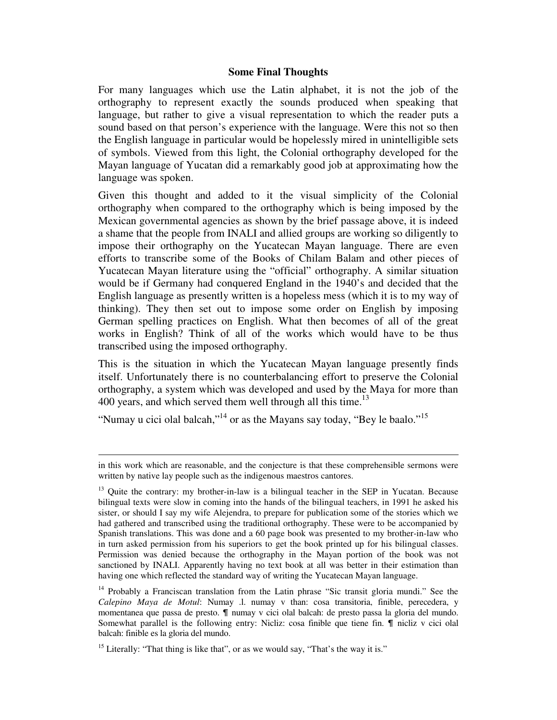## **Some Final Thoughts**

For many languages which use the Latin alphabet, it is not the job of the orthography to represent exactly the sounds produced when speaking that language, but rather to give a visual representation to which the reader puts a sound based on that person's experience with the language. Were this not so then the English language in particular would be hopelessly mired in unintelligible sets of symbols. Viewed from this light, the Colonial orthography developed for the Mayan language of Yucatan did a remarkably good job at approximating how the language was spoken.

Given this thought and added to it the visual simplicity of the Colonial orthography when compared to the orthography which is being imposed by the Mexican governmental agencies as shown by the brief passage above, it is indeed a shame that the people from INALI and allied groups are working so diligently to impose their orthography on the Yucatecan Mayan language. There are even efforts to transcribe some of the Books of Chilam Balam and other pieces of Yucatecan Mayan literature using the "official" orthography. A similar situation would be if Germany had conquered England in the 1940's and decided that the English language as presently written is a hopeless mess (which it is to my way of thinking). They then set out to impose some order on English by imposing German spelling practices on English. What then becomes of all of the great works in English? Think of all of the works which would have to be thus transcribed using the imposed orthography.

This is the situation in which the Yucatecan Mayan language presently finds itself. Unfortunately there is no counterbalancing effort to preserve the Colonial orthography, a system which was developed and used by the Maya for more than 400 years, and which served them well through all this time.<sup>13</sup>

"Numay u cici olal balcah,"<sup>14</sup> or as the Mayans say today, "Bey le baalo."<sup>15</sup>

 $\overline{a}$ 

in this work which are reasonable, and the conjecture is that these comprehensible sermons were written by native lay people such as the indigenous maestros cantores.

<sup>&</sup>lt;sup>13</sup> Ouite the contrary: my brother-in-law is a bilingual teacher in the SEP in Yucatan. Because bilingual texts were slow in coming into the hands of the bilingual teachers, in 1991 he asked his sister, or should I say my wife Alejendra, to prepare for publication some of the stories which we had gathered and transcribed using the traditional orthography. These were to be accompanied by Spanish translations. This was done and a 60 page book was presented to my brother-in-law who in turn asked permission from his superiors to get the book printed up for his bilingual classes. Permission was denied because the orthography in the Mayan portion of the book was not sanctioned by INALI. Apparently having no text book at all was better in their estimation than having one which reflected the standard way of writing the Yucatecan Mayan language.

<sup>&</sup>lt;sup>14</sup> Probably a Franciscan translation from the Latin phrase "Sic transit gloria mundi." See the *Calepino Maya de Motul*: Numay .l. numay v than: cosa transitoria, finible, perecedera, y momentanea que passa de presto.  $\P$  numay v cici olal balcah: de presto passa la gloria del mundo. Somewhat parallel is the following entry: Nicliz: cosa finible que tiene fin.  $\P$  nicliz v cici olal balcah: finible es la gloria del mundo.

<sup>&</sup>lt;sup>15</sup> Literally: "That thing is like that", or as we would say, "That's the way it is."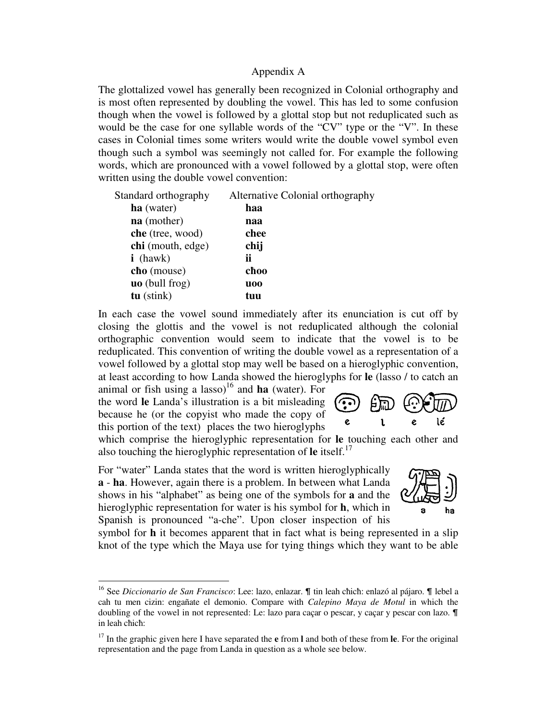### Appendix A

The glottalized vowel has generally been recognized in Colonial orthography and is most often represented by doubling the vowel. This has led to some confusion though when the vowel is followed by a glottal stop but not reduplicated such as would be the case for one syllable words of the "CV" type or the "V". In these cases in Colonial times some writers would write the double vowel symbol even though such a symbol was seemingly not called for. For example the following words, which are pronounced with a vowel followed by a glottal stop, were often written using the double vowel convention:

| Standard orthography  | Alternative Colonial orthography |
|-----------------------|----------------------------------|
| ha (water)            | haa                              |
| na (mother)           | naa                              |
| che (tree, wood)      | chee                             |
| chi (mouth, edge)     | chij                             |
| $i$ (hawk)            | ii                               |
| cho (mouse)           | choo                             |
| <b>uo</b> (bull frog) | <b>uoo</b>                       |
| $tu$ (stink)          | tuu                              |
|                       |                                  |

In each case the vowel sound immediately after its enunciation is cut off by closing the glottis and the vowel is not reduplicated although the colonial orthographic convention would seem to indicate that the vowel is to be reduplicated. This convention of writing the double vowel as a representation of a vowel followed by a glottal stop may well be based on a hieroglyphic convention, at least according to how Landa showed the hieroglyphs for **le** (lasso / to catch an

animal or fish using a lasso)<sup>16</sup> and **ha** (water). For the word **le** Landa's illustration is a bit misleading because he (or the copyist who made the copy of this portion of the text) places the two hieroglyphs

-

which comprise the hieroglyphic representation for **le** touching each other and also touching the hieroglyphic representation of  $\text{Ie}$  itself.<sup>17</sup>

For "water" Landa states that the word is written hieroglyphically **a** - **ha**. However, again there is a problem. In between what Landa shows in his "alphabet" as being one of the symbols for **a** and the hieroglyphic representation for water is his symbol for **h**, which in Spanish is pronounced "a-che". Upon closer inspection of his

symbol for **h** it becomes apparent that in fact what is being represented in a slip knot of the type which the Maya use for tying things which they want to be able



lé

e

 $\mathbf{I}$ 

<sup>&</sup>lt;sup>16</sup> See *Diccionario de San Francisco*: Lee: lazo, enlazar. ¶ tin leah chich: enlazó al pájaro. ¶ lebel a cah tu men cizin: engañate el demonio. Compare with *Calepino Maya de Motul* in which the doubling of the vowel in not represented: Le: lazo para caçar o pescar, y caçar y pescar con lazo.  $\P$ in leah cħicħ:

<sup>17</sup> In the graphic given here I have separated the **e** from **l** and both of these from **le**. For the original representation and the page from Landa in question as a whole see below.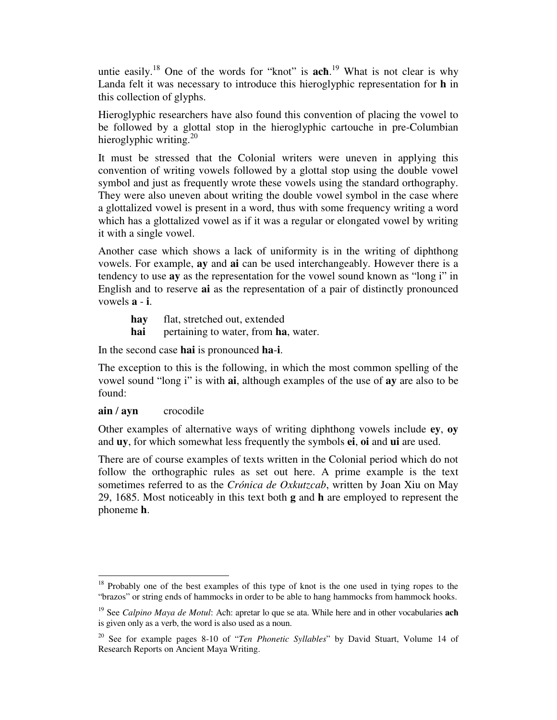untie easily.<sup>18</sup> One of the words for "knot" is **acħ**. <sup>19</sup> What is not clear is why Landa felt it was necessary to introduce this hieroglyphic representation for **h** in this collection of glyphs.

Hieroglyphic researchers have also found this convention of placing the vowel to be followed by a glottal stop in the hieroglyphic cartouche in pre-Columbian hieroglyphic writing. $^{20}$ 

It must be stressed that the Colonial writers were uneven in applying this convention of writing vowels followed by a glottal stop using the double vowel symbol and just as frequently wrote these vowels using the standard orthography. They were also uneven about writing the double vowel symbol in the case where a glottalized vowel is present in a word, thus with some frequency writing a word which has a glottalized vowel as if it was a regular or elongated vowel by writing it with a single vowel.

Another case which shows a lack of uniformity is in the writing of diphthong vowels. For example, **ay** and **ai** can be used interchangeably. However there is a tendency to use **ay** as the representation for the vowel sound known as "long i" in English and to reserve **ai** as the representation of a pair of distinctly pronounced vowels **a** - **i**.

- **hay** flat, stretched out, extended
- **hai** pertaining to water, from **ha**, water.

In the second case **hai** is pronounced **ha**-**i**.

The exception to this is the following, in which the most common spelling of the vowel sound "long i" is with **ai**, although examples of the use of **ay** are also to be found:

# **ain** / **ayn** crocodile

Other examples of alternative ways of writing diphthong vowels include **ey**, **oy** and **uy**, for which somewhat less frequently the symbols **ei**, **oi** and **ui** are used.

There are of course examples of texts written in the Colonial period which do not follow the orthographic rules as set out here. A prime example is the text sometimes referred to as the *Crónica de Oxkutzcab*, written by Joan Xiu on May 29, 1685. Most noticeably in this text both **g** and **h** are employed to represent the phoneme **h**.

<sup>-</sup><sup>18</sup> Probably one of the best examples of this type of knot is the one used in tying ropes to the "brazos" or string ends of hammocks in order to be able to hang hammocks from hammock hooks.

<sup>19</sup> See *Calpino Maya de Motul*: Acħ: apretar lo que se ata. While here and in other vocabularies **acħ** is given only as a verb, the word is also used as a noun.

<sup>20</sup> See for example pages 8-10 of "*Ten Phonetic Syllables*" by David Stuart, Volume 14 of Research Reports on Ancient Maya Writing.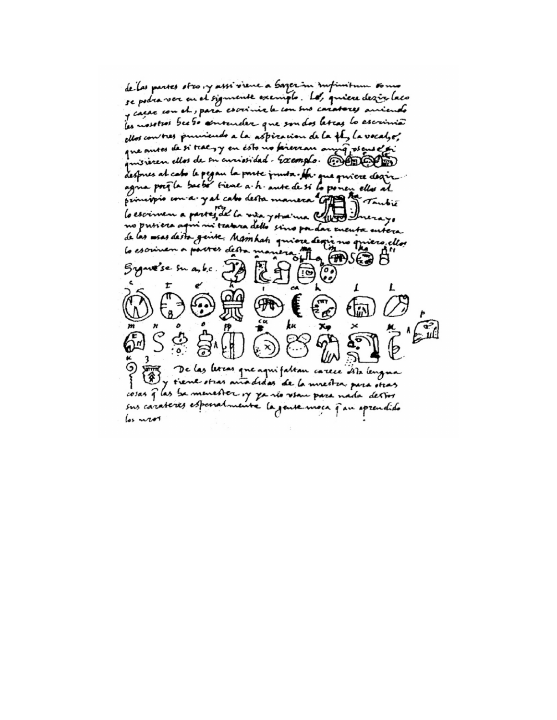de las partes stro, y assi viene a bazer in infinitum somo se podra ver en el sigmente exemplo. Les quiere desir laco y cacac com et, para escrimie le con sus caratores aniendo les mosotros bee so sentender que son dos letras lo escrimic ellos converses puniculos a la aspiración de la té, la vocalge, que antes de si teac y en esto no faierran anya pseus et pi missiren ellos de su anniosidad. Exemplo. CONOCO despres al cabo le pegan la parte junta. Ha que quiere degir agna prefla backé tiene a h. ante de si lo ponen ellos al principis coma y al cabo desta manera appe tambié lo escrimen a partez de la vita ystraina Cho Inerayo no prisiera agun ni teatura dello sino pa dar eneuta entera de las essas desta gente. Mamhati quiere degrè no quiero ellos lo escriven a parter desta manero  $MSE$  $B$ Sygare'se su asb.c. L ķк De las lettas que aquifaltan carece dita lengua y tiene otras anodidas de la unestra para otras cosas q las be menester of ya no view para nada destos sus carateres especialmente la gente moca que aprendido los neor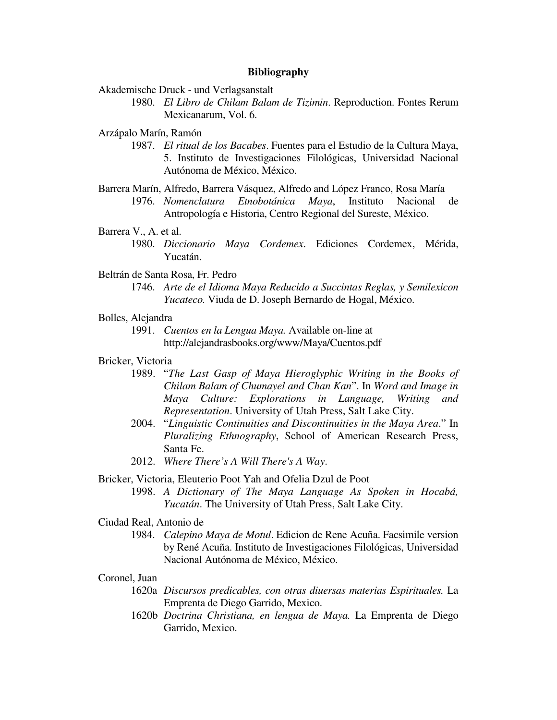#### **Bibliography**

Akademische Druck - und Verlagsanstalt

 1980. *El Libro de Chilam Balam de Tizimin*. Reproduction. Fontes Rerum Mexicanarum, Vol. 6.

Arzápalo Marín, Ramón

- 1987. *El ritual de los Bacabes*. Fuentes para el Estudio de la Cultura Maya, 5. Instituto de Investigaciones Filológicas, Universidad Nacional Autónoma de México, México.
- Barrera Marín, Alfredo, Barrera Vásquez, Alfredo and López Franco, Rosa María 1976. *Nomenclatura Etnobotánica Maya*, Instituto Nacional de Antropología e Historia, Centro Regional del Sureste, México.

Barrera V., A. et al.

 1980. *Diccionario Maya Cordemex*. Ediciones Cordemex, Mérida, Yucatán.

Beltrán de Santa Rosa, Fr. Pedro

 1746. *Arte de el Idioma Maya Reducido a Succintas Reglas, y Semilexicon Yucateco.* Viuda de D. Joseph Bernardo de Hogal, México.

## Bolles, Alejandra

 1991. *Cuentos en la Lengua Maya.* Available on-line at http://alejandrasbooks.org/www/Maya/Cuentos.pdf

## Bricker, Victoria

- 1989. "*The Last Gasp of Maya Hieroglyphic Writing in the Books of Chilam Balam of Chumayel and Chan Kan*". In *Word and Image in Maya Culture: Explorations in Language, Writing and Representation*. University of Utah Press, Salt Lake City.
- 2004. "*Linguistic Continuities and Discontinuities in the Maya Area*." In *Pluralizing Ethnography*, School of American Research Press, Santa Fe.
- 2012. *Where There's A Will There's A Way*.

Bricker, Victoria, Eleuterio Poot Yah and Ofelia Dzul de Poot

 1998. *A Dictionary of The Maya Language As Spoken in Hocabá, Yucatán*. The University of Utah Press, Salt Lake City.

#### Ciudad Real, Antonio de

 1984. *Calepino Maya de Motul*. Edicion de Rene Acuña. Facsimile version by René Acuña. Instituto de Investigaciones Filológicas, Universidad Nacional Autónoma de México, México.

#### Coronel, Juan

- 1620a *Discursos predicables, con otras diuersas materias Espirituales.* La Emprenta de Diego Garrido, Mexico.
- 1620b *Doctrina Christiana, en lengua de Maya.* La Emprenta de Diego Garrido, Mexico.